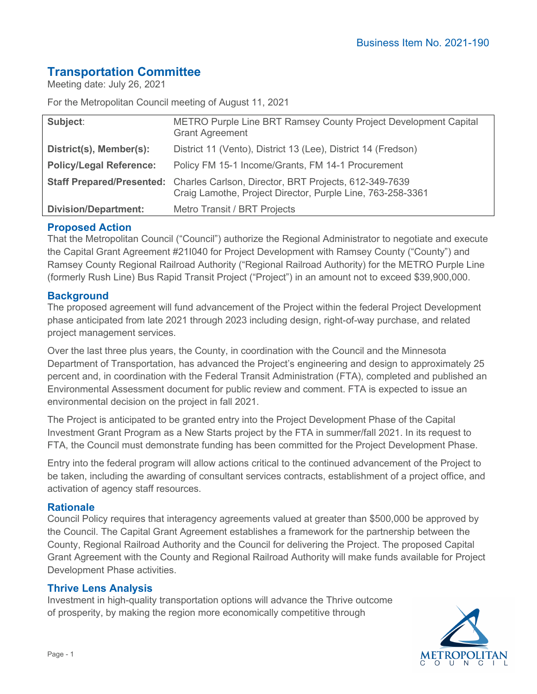# **Transportation Committee**

Meeting date: July 26, 2021

For the Metropolitan Council meeting of August 11, 2021

| Subject:                       | METRO Purple Line BRT Ramsey County Project Development Capital<br><b>Grant Agreement</b>                                                     |
|--------------------------------|-----------------------------------------------------------------------------------------------------------------------------------------------|
| District(s), Member(s):        | District 11 (Vento), District 13 (Lee), District 14 (Fredson)                                                                                 |
| <b>Policy/Legal Reference:</b> | Policy FM 15-1 Income/Grants, FM 14-1 Procurement                                                                                             |
|                                | Staff Prepared/Presented: Charles Carlson, Director, BRT Projects, 612-349-7639<br>Craig Lamothe, Project Director, Purple Line, 763-258-3361 |
| <b>Division/Department:</b>    | Metro Transit / BRT Projects                                                                                                                  |

# **Proposed Action**

That the Metropolitan Council ("Council") authorize the Regional Administrator to negotiate and execute the Capital Grant Agreement #21I040 for Project Development with Ramsey County ("County") and Ramsey County Regional Railroad Authority ("Regional Railroad Authority) for the METRO Purple Line (formerly Rush Line) Bus Rapid Transit Project ("Project") in an amount not to exceed \$39,900,000.

### **Background**

The proposed agreement will fund advancement of the Project within the federal Project Development phase anticipated from late 2021 through 2023 including design, right-of-way purchase, and related project management services.

Over the last three plus years, the County, in coordination with the Council and the Minnesota Department of Transportation, has advanced the Project's engineering and design to approximately 25 percent and, in coordination with the Federal Transit Administration (FTA), completed and published an Environmental Assessment document for public review and comment. FTA is expected to issue an environmental decision on the project in fall 2021.

The Project is anticipated to be granted entry into the Project Development Phase of the Capital Investment Grant Program as a New Starts project by the FTA in summer/fall 2021. In its request to FTA, the Council must demonstrate funding has been committed for the Project Development Phase.

Entry into the federal program will allow actions critical to the continued advancement of the Project to be taken, including the awarding of consultant services contracts, establishment of a project office, and activation of agency staff resources.

### **Rationale**

Council Policy requires that interagency agreements valued at greater than \$500,000 be approved by the Council. The Capital Grant Agreement establishes a framework for the partnership between the County, Regional Railroad Authority and the Council for delivering the Project. The proposed Capital Grant Agreement with the County and Regional Railroad Authority will make funds available for Project Development Phase activities.

### **Thrive Lens Analysis**

Investment in high-quality transportation options will advance the Thrive outcome of prosperity, by making the region more economically competitive through